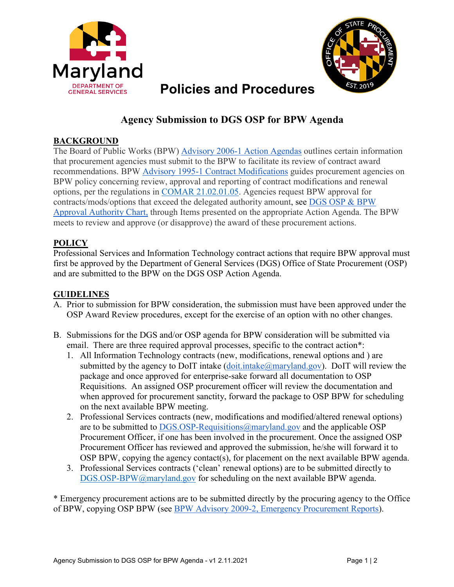



# **Policies and Procedures**

## **Agency Submission to DGS OSP for BPW Agenda**

### **BACKGROUND**

The Board of Public Works (BPW) [Advisory 2006-1 Action Agendas](https://bpw.maryland.gov/Pages/adv-2006-1.aspx) outlines certain information that procurement agencies must submit to the BPW to facilitate its review of contract award recommendations. BPW [Advisory 1995-1 Contract Modifications](https://bpw.maryland.gov/Pages/adv-1995-1.aspx) guides procurement agencies on BPW policy concerning review, approval and reporting of contract modifications and renewal options, per the regulations in [COMAR 21.02.01.05.](http://www.dsd.state.md.us/comar/comarhtml/21/21.02.01.05.htm) Agencies request BPW approval for contracts/mods/options that exceed the delegated authority amount, see [DGS OSP & BPW](https://procurement.maryland.gov/wp-content/uploads/sites/12/2020/06/DGS-OSP-BPW-Approval-Authority-Chart-Revised-6-16-2020.pdf) [Approval Authority Chart,](https://procurement.maryland.gov/wp-content/uploads/sites/12/2020/06/DGS-OSP-BPW-Approval-Authority-Chart-Revised-6-16-2020.pdf) through Items presented on the appropriate Action Agenda. The BPW meets to review and approve (or disapprove) the award of these procurement actions.

#### **POLICY**

Professional Services and Information Technology contract actions that require BPW approval must first be approved by the Department of General Services (DGS) Office of State Procurement (OSP) and are submitted to the BPW on the DGS OSP Action Agenda.

#### **GUIDELINES**

- A. Prior to submission for BPW consideration, the submission must have been approved under the OSP Award Review procedures, except for the exercise of an option with no other changes.
- B. Submissions for the DGS and/or OSP agenda for BPW consideration will be submitted via email. There are three required approval processes, specific to the contract action\*:
	- 1. All Information Technology contracts (new, modifications, renewal options and ) are submitted by the agency to DoIT intake  $(\text{doit.intake}(\mathcal{Q})$  maryland.gov). DoIT will review the package and once approved for enterprise-sake forward all documentation to OSP Requisitions. An assigned OSP procurement officer will review the documentation and when approved for procurement sanctity, forward the package to OSP BPW for scheduling on the next available BPW meeting.
	- 2. Professional Services contracts (new, modifications and modified/altered renewal options) are to be submitted to [DGS.OSP-Requisitions@maryland.gov](mailto:DGS.OSP-Requisitions@maryland.gov) and the applicable OSP Procurement Officer, if one has been involved in the procurement. Once the assigned OSP Procurement Officer has reviewed and approved the submission, he/she will forward it to OSP BPW, copying the agency contact(s), for placement on the next available BPW agenda.
	- 3. Professional Services contracts ('clean' renewal options) are to be submitted directly to [DGS.OSP-BPW@maryland.gov](mailto:DGS.OSP-BPW@maryland.gov) for scheduling on the next available BPW agenda.

\* Emergency procurement actions are to be submitted directly by the procuring agency to the Office of BPW, copying OSP BPW (see [BPW Advisory 2009-2, Emergency Procurement Reports\)](https://bpw.maryland.gov/Pages/adv-2009-2.aspx).